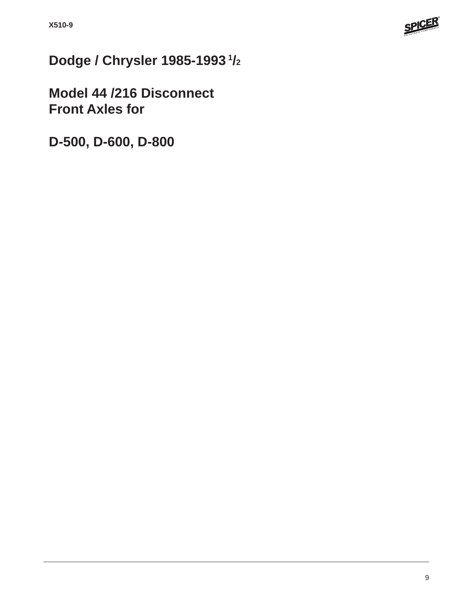

**Dodge / Chrysler 1985-1993 1/2**

**Model 44 /216 Disconnect Front Axles for**

**D-500, D-600, D-800**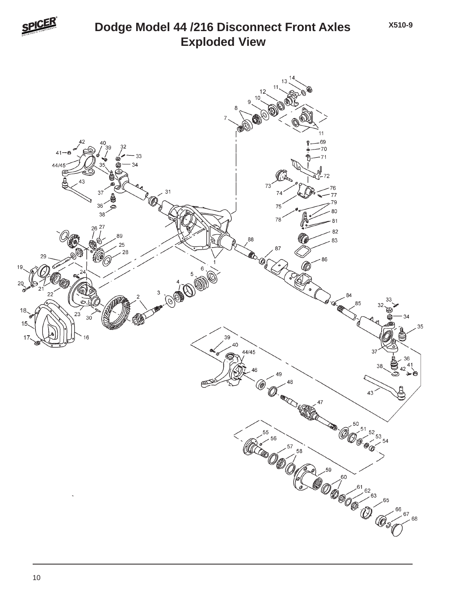

## **Exploded View Dodge Model 44 /216 Disconnect Front Axles**

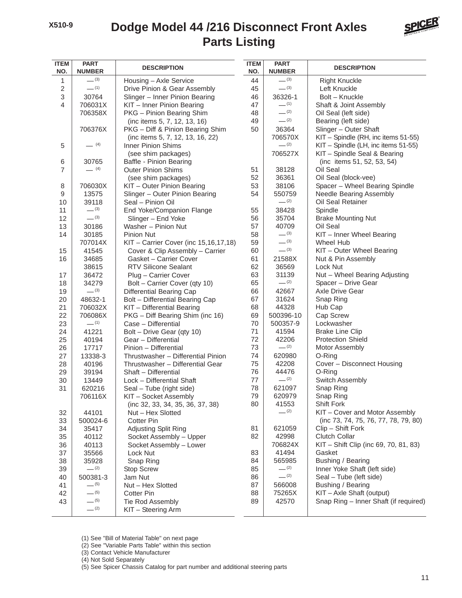## **Parts Listing Dodge Model 44 /216 Disconnect Front Axles**



| <b>ITEM</b><br>NO. | <b>PART</b><br><b>NUMBER</b> | <b>DESCRIPTION</b>                    | <b>ITEM</b><br>NO. | <b>PART</b><br><b>NUMBER</b> | <b>DESCRIPTION</b>                    |
|--------------------|------------------------------|---------------------------------------|--------------------|------------------------------|---------------------------------------|
| 1                  | $-^{(3)}$                    | Housing - Axle Service                | 44                 | $- (3)$                      | <b>Right Knuckle</b>                  |
| $\mathbf 2$        | $-$ (1)                      | Drive Pinion & Gear Assembly          | 45                 | $- (3)$                      | Left Knuckle                          |
| 3                  | 30764                        | Slinger - Inner Pinion Bearing        | 46                 | 36326-1                      | Bolt - Knuckle                        |
| 4                  | 706031X                      | KIT - Inner Pinion Bearing            | 47                 | $- (1)$                      | Shaft & Joint Assembly                |
|                    | 706358X                      | PKG - Pinion Bearing Shim             | 48                 | $-$ (2)                      | Oil Seal (left side)                  |
|                    |                              | (inc items 5, 7, 12, 13, 16)          | 49                 | $-^{(2)}$                    | Bearing (left side)                   |
|                    | 706376X                      | PKG - Diff & Pinion Bearing Shim      | 50                 | 36364                        | Slinger - Outer Shaft                 |
|                    |                              | (inc items 5, 7, 12, 13, 16, 22)      |                    | 706570X                      | KIT - Spindle (RH, inc items 51-55)   |
| 5                  | $- (4)$                      | <b>Inner Pinion Shims</b>             |                    | $- (2)$                      | KIT - Spindle (LH, inc items 51-55)   |
|                    |                              | (see shim packages)                   |                    | 706527X                      | KIT - Spindle Seal & Bearing          |
| 6                  | 30765                        | Baffle - Pinion Bearing               |                    |                              | (inc items 51, 52, 53, 54)            |
| $\overline{7}$     | $- (4)$                      | <b>Outer Pinion Shims</b>             | 51                 | 38128                        | Oil Seal                              |
|                    |                              | (see shim packages)                   | 52                 | 36361                        | Oil Seal (block-vee)                  |
| 8                  | 706030X                      | KIT - Outer Pinion Bearing            | 53                 | 38106                        | Spacer - Wheel Bearing Spindle        |
| 9                  | 13575                        | Slinger - Outer Pinion Bearing        | 54                 | 550759                       | Needle Bearing Assembly               |
| 10                 | 39118                        | Seal - Pinion Oil                     |                    | $-$ (2)                      | Oil Seal Retainer                     |
| 11                 | $-^{(3)}$                    | End Yoke/Companion Flange             | 55                 | 38428                        | Spindle                               |
| 12                 | $-^{(3)}$                    | Slinger - End Yoke                    | 56                 | 35704                        | <b>Brake Mounting Nut</b>             |
| 13                 | 30186                        | Washer - Pinion Nut                   | 57                 | 40709                        | Oil Seal                              |
| 14                 | 30185                        | <b>Pinion Nut</b>                     | 58                 | $-^{(3)}$                    | KIT - Inner Wheel Bearing             |
|                    | 707014X                      | KIT - Carrier Cover (inc 15,16,17,18) | 59                 | $- (3)$                      | <b>Wheel Hub</b>                      |
| 15                 | 41545                        | Cover & Clip Assembly - Carrier       | 60                 | $- (3)$                      | KIT - Outer Wheel Bearing             |
| 16                 | 34685                        | Gasket - Carrier Cover                | 61                 | 21588X                       | Nut & Pin Assembly                    |
|                    | 38615                        | <b>RTV Silicone Sealant</b>           | 62                 | 36569                        | Lock Nut                              |
| 17                 | 36472                        | Plug - Carrier Cover                  | 63                 | 31139                        | Nut - Wheel Bearing Adjusting         |
| 18                 | 34279                        | Bolt - Carrier Cover (qty 10)         | 65                 | $-$ (2)                      | Spacer - Drive Gear                   |
| 19                 | $-^{(3)}$                    | Differential Bearing Cap              | 66                 | 42667                        | Axle Drive Gear                       |
| 20                 | 48632-1                      | Bolt - Differential Bearing Cap       | 67                 | 31624                        | Snap Ring                             |
| 21                 | 706032X                      | KIT - Differential Bearing            | 68                 | 44328                        | Hub Cap                               |
| 22                 | 706086X                      | PKG - Diff Bearing Shim (inc 16)      | 69                 | 500396-10                    | Cap Screw                             |
| 23                 | $-$ (1)                      | Case - Differential                   | 70                 | 500357-9                     | Lockwasher                            |
| 24                 | 41221                        | Bolt - Drive Gear (qty 10)            | 71                 | 41594                        | <b>Brake Line Clip</b>                |
| 25                 | 40194                        | Gear - Differential                   | 72                 | 42206                        | <b>Protection Shield</b>              |
| 26                 | 17717                        | Pinion - Differential                 | 73                 | $-^{(2)}$                    | Motor Assembly                        |
| 27                 | 13338-3                      | Thrustwasher - Differential Pinion    | 74                 | 620980                       | O-Ring                                |
| 28                 | 40196                        | Thrustwasher - Differential Gear      | 75                 | 42208                        | Cover - Disconnect Housing            |
| 29                 | 39194                        | Shaft - Differential                  | 76                 | 44476                        | O-Ring                                |
| 30                 | 13449                        | Lock - Differential Shaft             | 77                 | $-^{(2)}$                    | Switch Assembly                       |
| 31                 | 620216                       | Seal – Tube (right side)              | 78                 | 621097                       | Snap Ring                             |
|                    | 706116X                      | KIT - Socket Assembly                 | 79                 | 620979                       | Snap Ring                             |
|                    |                              | (inc 32, 33, 34, 35, 36, 37, 38)      | 80                 | 41553                        | <b>Shift Fork</b>                     |
| 32                 | 44101                        | Nut - Hex Slotted                     |                    | $-$ (2)                      | KIT - Cover and Motor Assembly        |
| 33                 | 500024-6                     | <b>Cotter Pin</b>                     |                    |                              | (inc 73, 74, 75, 76, 77, 78, 79, 80)  |
| 34                 | 35417                        | Adjusting Split Ring                  | 81                 | 621059                       | Clip - Shift Fork                     |
| 35                 | 40112                        | Socket Assembly - Upper               | 82                 | 42998                        | Clutch Collar                         |
| 36                 | 40113                        | Socket Assembly - Lower               |                    | 706824X                      | KIT - Shift Clip (inc 69, 70, 81, 83) |
| 37                 | 35566                        | Lock Nut                              | 83                 | 41494                        | Gasket                                |
| 38                 | 35928                        | Snap Ring                             | 84                 | 565985                       | Bushing / Bearing                     |
| 39                 | $-^{(2)}$                    | <b>Stop Screw</b>                     | 85                 | $-$ (2)<br>$-^{(2)}$         | Inner Yoke Shaft (left side)          |
| 40                 | 500381-3                     | Jam Nut                               | 86                 |                              | Seal - Tube (left side)               |
| 41                 | $-$ (5)<br>$-^{(5)}$         | Nut - Hex Slotted                     | 87                 | 566008                       | Bushing / Bearing                     |
| 42                 | $-^{(5)}$                    | <b>Cotter Pin</b>                     | 88                 | 75265X                       | KIT - Axle Shaft (output)             |
| 43                 | $-^{(2)}$                    | Tie Rod Assembly                      | 89                 | 42570                        | Snap Ring - Inner Shaft (if required) |
|                    |                              | KIT - Steering Arm                    |                    |                              |                                       |

(1) See "Bill of Material Table" on next page

(2) See "Variable Parts Table" within this section

(3) Contact Vehicle Manufacturer

(4) Not Sold Separately

(5) See Spicer Chassis Catalog for part number and additional steering parts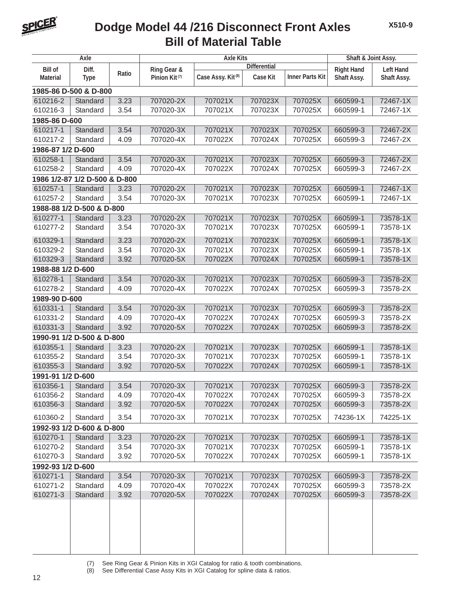

## **Bill of Material Table Dodge Model 44 /216 Disconnect Front Axles**

| Axle                          |                           |       | <b>Axle Kits</b>          |                               |                     |                        | Shaft & Joint Assy. |                  |  |
|-------------------------------|---------------------------|-------|---------------------------|-------------------------------|---------------------|------------------------|---------------------|------------------|--|
| <b>Bill of</b>                | Diff.                     |       | Ring Gear &               |                               | <b>Differential</b> |                        | <b>Right Hand</b>   | <b>Left Hand</b> |  |
| <b>Material</b>               | <b>Type</b>               | Ratio | Pinion Kit <sup>(7)</sup> | Case Assy. Kit <sup>(8)</sup> | <b>Case Kit</b>     | <b>Inner Parts Kit</b> | Shaft Assy.         | Shaft Assy.      |  |
| 1985-86 D-500 & D-800         |                           |       |                           |                               |                     |                        |                     |                  |  |
| 610216-2                      | Standard                  | 3.23  | 707020-2X                 | 707021X                       | 707023X             | 707025X                | 660599-1            | 72467-1X         |  |
| 610216-3                      | Standard                  | 3.54  | 707020-3X                 | 707021X                       | 707023X             | 707025X                | 660599-1            | 72467-1X         |  |
| 1985-86 D-600                 |                           |       |                           |                               |                     |                        |                     |                  |  |
| 610217-1                      | Standard                  | 3.54  | 707020-3X                 | 707021X                       | 707023X             | 707025X                | 660599-3            | 72467-2X         |  |
| 610217-2                      | Standard                  | 4.09  | 707020-4X                 | 707022X                       | 707024X             | 707025X                | 660599-3            | 72467-2X         |  |
| 1986-87 1/2 D-600             |                           |       |                           |                               |                     |                        |                     |                  |  |
| 610258-1                      | Standard                  | 3.54  | 707020-3X                 | 707021X                       | 707023X             | 707025X                | 660599-3            | 72467-2X         |  |
| 610258-2                      | Standard                  | 4.09  | 707020-4X                 | 707022X                       | 707024X             | 707025X                | 660599-3            | 72467-2X         |  |
| 1986 1/2-87 1/2 D-500 & D-800 |                           |       |                           |                               |                     |                        |                     |                  |  |
| 610257-1                      | Standard                  | 3.23  | 707020-2X                 | 707021X                       | 707023X             | 707025X                | 660599-1            | 72467-1X         |  |
| 610257-2                      | Standard                  | 3.54  | 707020-3X                 | 707021X                       | 707023X             | 707025X                | 660599-1            | 72467-1X         |  |
|                               | 1988-88 1/2 D-500 & D-800 |       |                           |                               |                     |                        |                     |                  |  |
| 610277-1                      | Standard                  | 3.23  | 707020-2X                 | 707021X                       | 707023X             | 707025X                | 660599-1            | 73578-1X         |  |
| 610277-2                      | Standard                  | 3.54  | 707020-3X                 | 707021X                       | 707023X             | 707025X                | 660599-1            | 73578-1X         |  |
| 610329-1                      | Standard                  | 3.23  | 707020-2X                 | 707021X                       | 707023X             | 707025X                | 660599-1            | 73578-1X         |  |
| 610329-2                      | Standard                  | 3.54  | 707020-3X                 | 707021X                       | 707023X             | 707025X                | 660599-1            | 73578-1X         |  |
| 610329-3                      | Standard                  | 3.92  | 707020-5X                 | 707022X                       | 707024X             | 707025X                | 660599-1            | 73578-1X         |  |
| 1988-88 1/2 D-600             |                           |       |                           |                               |                     |                        |                     |                  |  |
| 610278-1                      | Standard                  | 3.54  | 707020-3X                 | 707021X                       | 707023X             | 707025X                | 660599-3            | 73578-2X         |  |
| 610278-2                      | Standard                  | 4.09  | 707020-4X                 | 707022X                       | 707024X             | 707025X                | 660599-3            | 73578-2X         |  |
| 1989-90 D-600                 |                           |       |                           |                               |                     |                        |                     |                  |  |
| 610331-1                      | Standard                  | 3.54  | 707020-3X                 | 707021X                       | 707023X             | 707025X                | 660599-3            | 73578-2X         |  |
| 610331-2                      | Standard                  | 4.09  | 707020-4X                 | 707022X                       | 707024X             | 707025X                | 660599-3            | 73578-2X         |  |
| 610331-3                      | Standard                  | 3.92  | 707020-5X                 | 707022X                       | 707024X             | 707025X                | 660599-3            | 73578-2X         |  |
|                               | 1990-91 1/2 D-500 & D-800 |       |                           |                               |                     |                        |                     |                  |  |
| 610355-1                      | Standard                  | 3.23  | 707020-2X                 | 707021X                       | 707023X             | 707025X                | 660599-1            | 73578-1X         |  |
| 610355-2                      | Standard                  | 3.54  | 707020-3X                 | 707021X                       | 707023X             | 707025X                | 660599-1            | 73578-1X         |  |
| 610355-3                      | Standard                  | 3.92  | 707020-5X                 | 707022X                       | 707024X             | 707025X                | 660599-1            | 73578-1X         |  |
| 1991-91 1/2 D-600             |                           |       |                           |                               |                     |                        |                     |                  |  |
| 610356-1                      | Standard                  | 3.54  | 707020-3X                 | 707021X                       | 707023X             | 707025X                | 660599-3            | 73578-2X         |  |
| 610356-2                      | Standard                  | 4.09  | 707020-4X                 | 707022X                       | 707024X             | 707025X                | 660599-3            | 73578-2X         |  |
| 610356-3                      | Standard                  | 3.92  | 707020-5X                 | 707022X                       | 707024X             | 707025X                | 660599-3            | 73578-2X         |  |
| 610360-2                      | Standard                  | 3.54  | 707020-3X                 | 707021X                       | 707023X             | 707025X                | 74236-1X            | 74225-1X         |  |
| 1992-93 1/2 D-600 & D-800     |                           |       |                           |                               |                     |                        |                     |                  |  |
| 610270-1                      | Standard                  | 3.23  | 707020-2X                 | 707021X                       | 707023X             | 707025X                | 660599-1            | 73578-1X         |  |
| 610270-2                      | Standard                  | 3.54  | 707020-3X                 | 707021X                       | 707023X             | 707025X                | 660599-1            | 73578-1X         |  |
| 610270-3                      | Standard                  | 3.92  | 707020-5X                 | 707022X                       | 707024X             | 707025X                | 660599-1            | 73578-1X         |  |
| 1992-93 1/2 D-600             |                           |       |                           |                               |                     |                        |                     |                  |  |
| 610271-1                      | Standard                  | 3.54  | 707020-3X                 | 707021X                       | 707023X             | 707025X                | 660599-3            | 73578-2X         |  |
| 610271-2                      | Standard                  | 4.09  | 707020-4X                 | 707022X                       | 707024X             | 707025X                | 660599-3            | 73578-2X         |  |
| 610271-3                      | Standard                  | 3.92  | 707020-5X                 | 707022X                       | 707024X             | 707025X                | 660599-3            | 73578-2X         |  |
|                               |                           |       |                           |                               |                     |                        |                     |                  |  |
|                               |                           |       |                           |                               |                     |                        |                     |                  |  |
|                               |                           |       |                           |                               |                     |                        |                     |                  |  |
|                               |                           |       |                           |                               |                     |                        |                     |                  |  |
|                               |                           |       |                           |                               |                     |                        |                     |                  |  |

(7) See Ring Gear & Pinion Kits in XGI Catalog for ratio & tooth combinations.

See Differential Case Assy Kits in XGI Catalog for spline data & ratios.